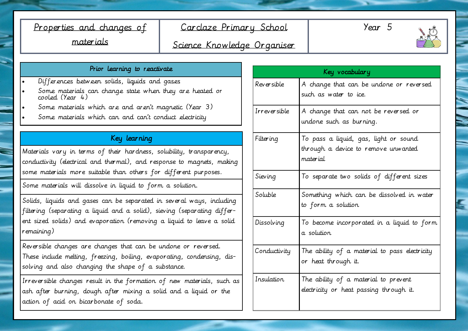## Properties and changes of materials

## Carclaze Primary School

Year 5



Science Knowledge Organiser

#### Prior learning to reactivate

- Differences between solids, liquids and gases
- Some materials can change state when they are heated or cooled (Year 4)
- Some materials which are and aren't magnetic (Year 3)
- Some materials which can and can't conduct electricity

## Key learning

Materials vary in terms of their hardness, solubility, transparency, conductivity (electrical and thermal), and response to magnets, making some materials more suitable than others for different purposes.

Some materials will dissolve in liquid to form a solution.

Solids, liquids and gases can be separated in several ways, including filtering (separating a liquid and a solid), sieving (separating different sized solids) and evaporation (removing a liquid to leave a solid remaining)

Reversible changes are changes that can be undone or reversed. These include melting, freezing, boiling, evaporating, condensing, dissolving and also changing the shape of a substance.

Irreversible changes result in the formation of new materials, such as ash after burning, dough after mixing a solid and a liquid or the action of acid on bicarbonate of soda.

| Key vocabulary |                                                                                          |  |  |
|----------------|------------------------------------------------------------------------------------------|--|--|
| Reversible     | A change that can be undone or reversed<br>such as water to ice.                         |  |  |
| Irreversible   | A change that can not be reversed or<br>undone such as burning.                          |  |  |
| Filtering      | To pass a liquid, gas, light or sound<br>through a device to remove unwanted<br>material |  |  |
| Sieving        | To separate two solids of different sizes                                                |  |  |
| Soluble        | Something which can be dissolved in water<br>to form a solution                          |  |  |
| Dissolving     | To become incorporated in a liquid to form<br>a solution                                 |  |  |
| Conductivity   | The ability of a material to pass electricity<br>or heat through it.                     |  |  |
| Insulation.    | The ability of a material to prevent<br>electricity or heat passing through it.          |  |  |